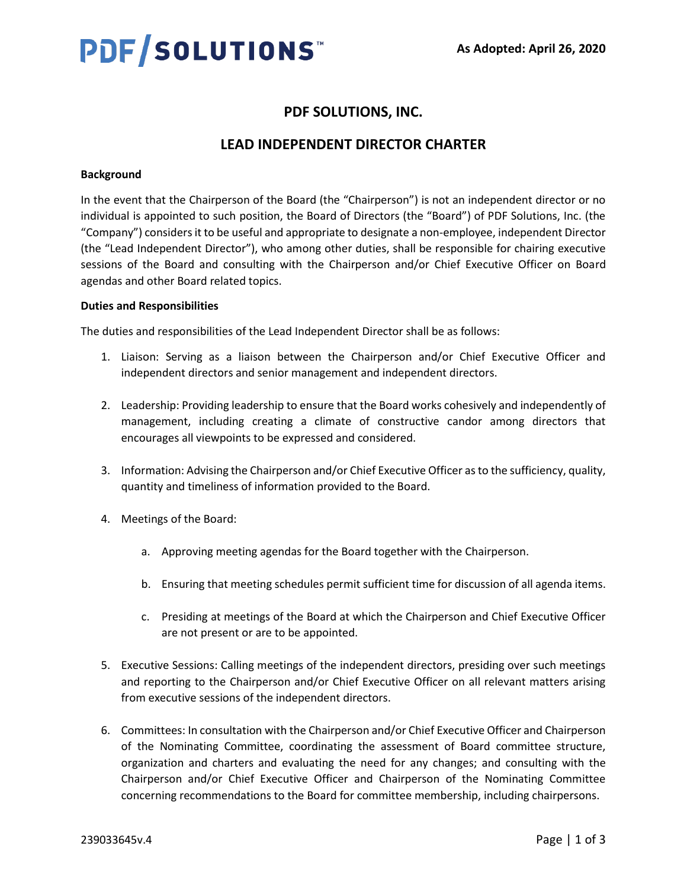# PDF/SOLUTIONS

# **PDF SOLUTIONS, INC.**

# **LEAD INDEPENDENT DIRECTOR CHARTER**

## **Background**

In the event that the Chairperson of the Board (the "Chairperson") is not an independent director or no individual is appointed to such position, the Board of Directors (the "Board") of PDF Solutions, Inc. (the "Company") considers it to be useful and appropriate to designate a non-employee, independent Director (the "Lead Independent Director"), who among other duties, shall be responsible for chairing executive sessions of the Board and consulting with the Chairperson and/or Chief Executive Officer on Board agendas and other Board related topics.

#### **Duties and Responsibilities**

The duties and responsibilities of the Lead Independent Director shall be as follows:

- 1. Liaison: Serving as a liaison between the Chairperson and/or Chief Executive Officer and independent directors and senior management and independent directors.
- 2. Leadership: Providing leadership to ensure that the Board works cohesively and independently of management, including creating a climate of constructive candor among directors that encourages all viewpoints to be expressed and considered.
- 3. Information: Advising the Chairperson and/or Chief Executive Officer as to the sufficiency, quality, quantity and timeliness of information provided to the Board.
- 4. Meetings of the Board:
	- a. Approving meeting agendas for the Board together with the Chairperson.
	- b. Ensuring that meeting schedules permit sufficient time for discussion of all agenda items.
	- c. Presiding at meetings of the Board at which the Chairperson and Chief Executive Officer are not present or are to be appointed.
- 5. Executive Sessions: Calling meetings of the independent directors, presiding over such meetings and reporting to the Chairperson and/or Chief Executive Officer on all relevant matters arising from executive sessions of the independent directors.
- 6. Committees: In consultation with the Chairperson and/or Chief Executive Officer and Chairperson of the Nominating Committee, coordinating the assessment of Board committee structure, organization and charters and evaluating the need for any changes; and consulting with the Chairperson and/or Chief Executive Officer and Chairperson of the Nominating Committee concerning recommendations to the Board for committee membership, including chairpersons.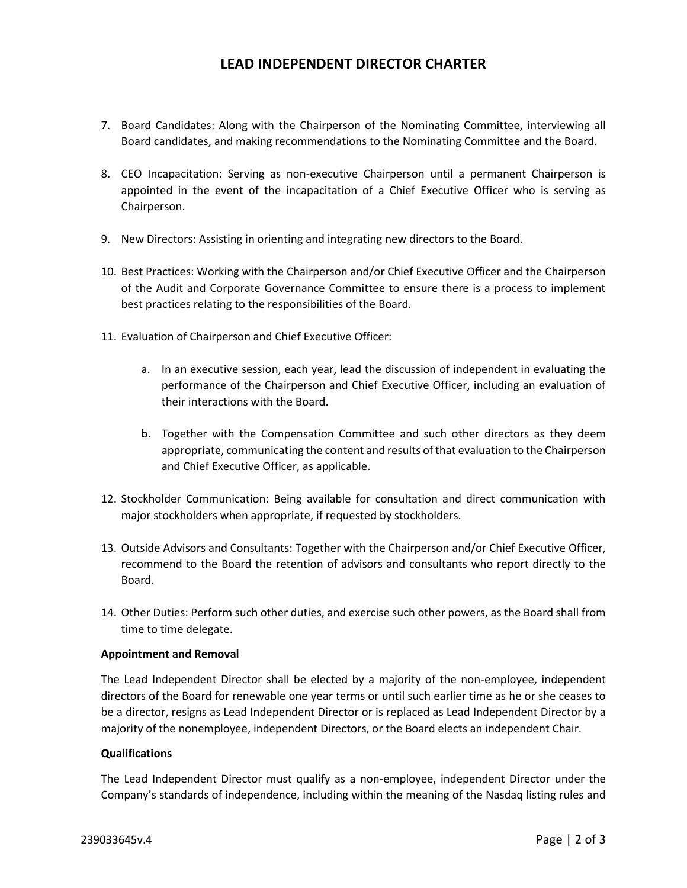## **LEAD INDEPENDENT DIRECTOR CHARTER**

- 7. Board Candidates: Along with the Chairperson of the Nominating Committee, interviewing all Board candidates, and making recommendations to the Nominating Committee and the Board.
- 8. CEO Incapacitation: Serving as non-executive Chairperson until a permanent Chairperson is appointed in the event of the incapacitation of a Chief Executive Officer who is serving as Chairperson.
- 9. New Directors: Assisting in orienting and integrating new directors to the Board.
- 10. Best Practices: Working with the Chairperson and/or Chief Executive Officer and the Chairperson of the Audit and Corporate Governance Committee to ensure there is a process to implement best practices relating to the responsibilities of the Board.
- 11. Evaluation of Chairperson and Chief Executive Officer:
	- a. In an executive session, each year, lead the discussion of independent in evaluating the performance of the Chairperson and Chief Executive Officer, including an evaluation of their interactions with the Board.
	- b. Together with the Compensation Committee and such other directors as they deem appropriate, communicating the content and results of that evaluation to the Chairperson and Chief Executive Officer, as applicable.
- 12. Stockholder Communication: Being available for consultation and direct communication with major stockholders when appropriate, if requested by stockholders.
- 13. Outside Advisors and Consultants: Together with the Chairperson and/or Chief Executive Officer, recommend to the Board the retention of advisors and consultants who report directly to the Board.
- 14. Other Duties: Perform such other duties, and exercise such other powers, as the Board shall from time to time delegate.

#### **Appointment and Removal**

The Lead Independent Director shall be elected by a majority of the non-employee, independent directors of the Board for renewable one year terms or until such earlier time as he or she ceases to be a director, resigns as Lead Independent Director or is replaced as Lead Independent Director by a majority of the nonemployee, independent Directors, or the Board elects an independent Chair.

#### **Qualifications**

The Lead Independent Director must qualify as a non-employee, independent Director under the Company's standards of independence, including within the meaning of the Nasdaq listing rules and